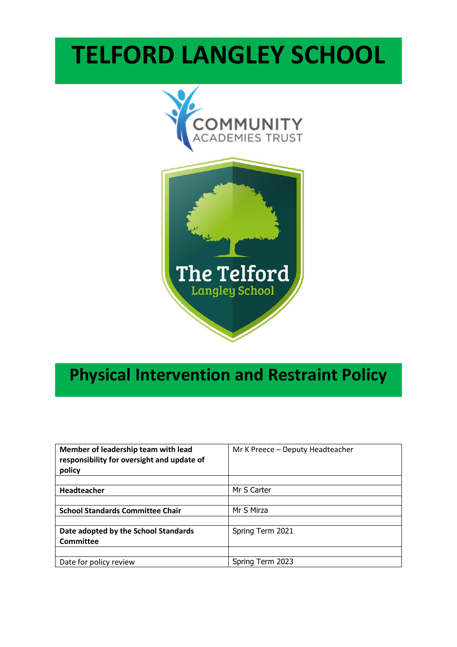# **TELFORD LANGLEY SCHOOL**



## **Physical Intervention and Restraint Policy**

| Member of leadership team with lead<br>responsibility for oversight and update of<br>policy | Mr K Preece - Deputy Headteacher |
|---------------------------------------------------------------------------------------------|----------------------------------|
|                                                                                             |                                  |
| Headteacher                                                                                 | Mr S Carter                      |
|                                                                                             |                                  |
| <b>School Standards Committee Chair</b>                                                     | Mr S Mirza                       |
|                                                                                             |                                  |
| Date adopted by the School Standards                                                        | Spring Term 2021                 |
| Committee                                                                                   |                                  |
|                                                                                             |                                  |
| Date for policy review                                                                      | Spring Term 2023                 |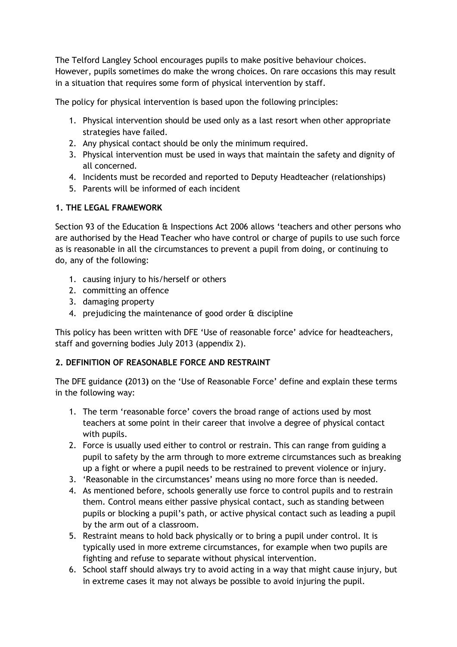The Telford Langley School encourages pupils to make positive behaviour choices. However, pupils sometimes do make the wrong choices. On rare occasions this may result in a situation that requires some form of physical intervention by staff.

The policy for physical intervention is based upon the following principles:

- 1. Physical intervention should be used only as a last resort when other appropriate strategies have failed.
- 2. Any physical contact should be only the minimum required.
- 3. Physical intervention must be used in ways that maintain the safety and dignity of all concerned.
- 4. Incidents must be recorded and reported to Deputy Headteacher (relationships)
- 5. Parents will be informed of each incident

#### **1. THE LEGAL FRAMEWORK**

Section 93 of the Education & Inspections Act 2006 allows 'teachers and other persons who are authorised by the Head Teacher who have control or charge of pupils to use such force as is reasonable in all the circumstances to prevent a pupil from doing, or continuing to do, any of the following:

- 1. causing injury to his/herself or others
- 2. committing an offence
- 3. damaging property
- 4. prejudicing the maintenance of good order & discipline

This policy has been written with DFE 'Use of reasonable force' advice for headteachers, staff and governing bodies July 2013 (appendix 2).

#### **2. DEFINITION OF REASONABLE FORCE AND RESTRAINT**

The DFE guidance **(**2013**)** on the 'Use of Reasonable Force' define and explain these terms in the following way:

- 1. The term 'reasonable force' covers the broad range of actions used by most teachers at some point in their career that involve a degree of physical contact with pupils.
- 2. Force is usually used either to control or restrain. This can range from guiding a pupil to safety by the arm through to more extreme circumstances such as breaking up a fight or where a pupil needs to be restrained to prevent violence or injury.
- 3. 'Reasonable in the circumstances' means using no more force than is needed.
- 4. As mentioned before, schools generally use force to control pupils and to restrain them. Control means either passive physical contact, such as standing between pupils or blocking a pupil's path, or active physical contact such as leading a pupil by the arm out of a classroom.
- 5. Restraint means to hold back physically or to bring a pupil under control. It is typically used in more extreme circumstances, for example when two pupils are fighting and refuse to separate without physical intervention.
- 6. School staff should always try to avoid acting in a way that might cause injury, but in extreme cases it may not always be possible to avoid injuring the pupil.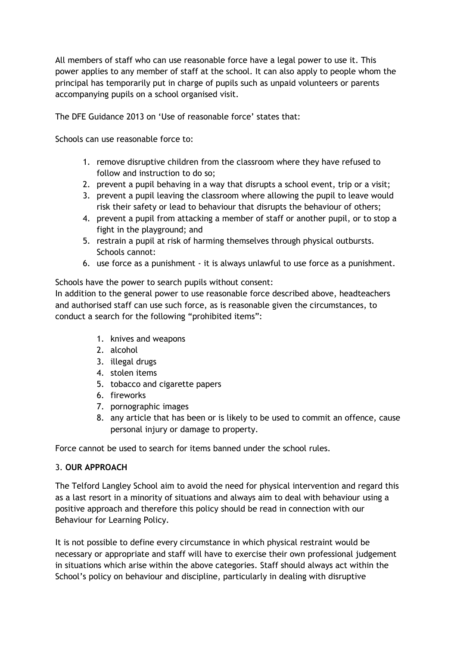All members of staff who can use reasonable force have a legal power to use it. This power applies to any member of staff at the school. It can also apply to people whom the principal has temporarily put in charge of pupils such as unpaid volunteers or parents accompanying pupils on a school organised visit.

The DFE Guidance 2013 on 'Use of reasonable force' states that:

Schools can use reasonable force to:

- 1. remove disruptive children from the classroom where they have refused to follow and instruction to do so;
- 2. prevent a pupil behaving in a way that disrupts a school event, trip or a visit;
- 3. prevent a pupil leaving the classroom where allowing the pupil to leave would risk their safety or lead to behaviour that disrupts the behaviour of others;
- 4. prevent a pupil from attacking a member of staff or another pupil, or to stop a fight in the playground; and
- 5. restrain a pupil at risk of harming themselves through physical outbursts. Schools cannot:
- 6. use force as a punishment it is always unlawful to use force as a punishment.

Schools have the power to search pupils without consent: In addition to the general power to use reasonable force described above, headteachers and authorised staff can use such force, as is reasonable given the circumstances, to conduct a search for the following "prohibited items":

- 1. knives and weapons
- 2. alcohol
- 3. illegal drugs
- 4. stolen items
- 5. tobacco and cigarette papers
- 6. fireworks
- 7. pornographic images
- 8. any article that has been or is likely to be used to commit an offence, cause personal injury or damage to property.

Force cannot be used to search for items banned under the school rules.

#### 3. **OUR APPROACH**

The Telford Langley School aim to avoid the need for physical intervention and regard this as a last resort in a minority of situations and always aim to deal with behaviour using a positive approach and therefore this policy should be read in connection with our Behaviour for Learning Policy.

It is not possible to define every circumstance in which physical restraint would be necessary or appropriate and staff will have to exercise their own professional judgement in situations which arise within the above categories. Staff should always act within the School's policy on behaviour and discipline, particularly in dealing with disruptive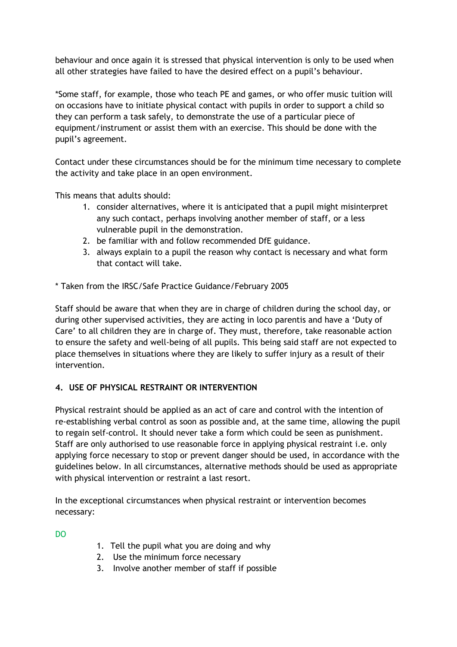behaviour and once again it is stressed that physical intervention is only to be used when all other strategies have failed to have the desired effect on a pupil's behaviour.

\*Some staff, for example, those who teach PE and games, or who offer music tuition will on occasions have to initiate physical contact with pupils in order to support a child so they can perform a task safely, to demonstrate the use of a particular piece of equipment/instrument or assist them with an exercise. This should be done with the pupil's agreement.

Contact under these circumstances should be for the minimum time necessary to complete the activity and take place in an open environment.

This means that adults should:

- 1. consider alternatives, where it is anticipated that a pupil might misinterpret any such contact, perhaps involving another member of staff, or a less vulnerable pupil in the demonstration.
- 2. be familiar with and follow recommended DfE guidance.
- 3. always explain to a pupil the reason why contact is necessary and what form that contact will take.
- \* Taken from the IRSC/Safe Practice Guidance/February 2005

Staff should be aware that when they are in charge of children during the school day, or during other supervised activities, they are acting in loco parentis and have a 'Duty of Care' to all children they are in charge of. They must, therefore, take reasonable action to ensure the safety and well-being of all pupils. This being said staff are not expected to place themselves in situations where they are likely to suffer injury as a result of their intervention.

#### **4. USE OF PHYSICAL RESTRAINT OR INTERVENTION**

Physical restraint should be applied as an act of care and control with the intention of re-establishing verbal control as soon as possible and, at the same time, allowing the pupil to regain self-control. It should never take a form which could be seen as punishment. Staff are only authorised to use reasonable force in applying physical restraint i.e. only applying force necessary to stop or prevent danger should be used, in accordance with the guidelines below. In all circumstances, alternative methods should be used as appropriate with physical intervention or restraint a last resort.

In the exceptional circumstances when physical restraint or intervention becomes necessary:

DO

- 1. Tell the pupil what you are doing and why
- 2. Use the minimum force necessary
- 3. Involve another member of staff if possible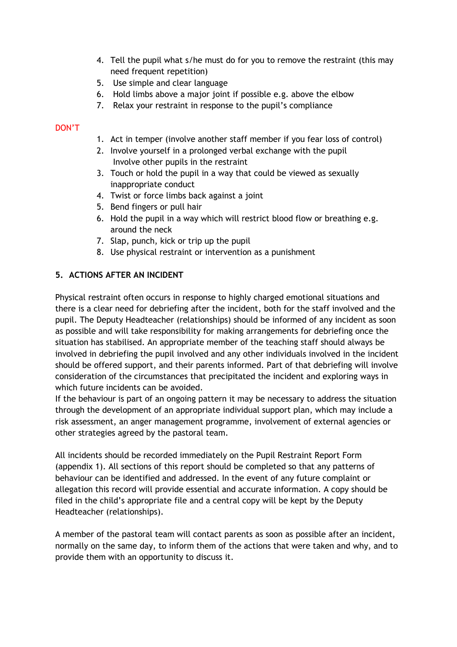- 4. Tell the pupil what s/he must do for you to remove the restraint (this may need frequent repetition)
- 5. Use simple and clear language
- 6. Hold limbs above a major joint if possible e.g. above the elbow
- 7. Relax your restraint in response to the pupil's compliance

#### DON'T

- 1. Act in temper (involve another staff member if you fear loss of control)
- 2. Involve yourself in a prolonged verbal exchange with the pupil Involve other pupils in the restraint
- 3. Touch or hold the pupil in a way that could be viewed as sexually inappropriate conduct
- 4. Twist or force limbs back against a joint
- 5. Bend fingers or pull hair
- 6. Hold the pupil in a way which will restrict blood flow or breathing e.g. around the neck
- 7. Slap, punch, kick or trip up the pupil
- 8. Use physical restraint or intervention as a punishment

#### **5. ACTIONS AFTER AN INCIDENT**

Physical restraint often occurs in response to highly charged emotional situations and there is a clear need for debriefing after the incident, both for the staff involved and the pupil. The Deputy Headteacher (relationships) should be informed of any incident as soon as possible and will take responsibility for making arrangements for debriefing once the situation has stabilised. An appropriate member of the teaching staff should always be involved in debriefing the pupil involved and any other individuals involved in the incident should be offered support, and their parents informed. Part of that debriefing will involve consideration of the circumstances that precipitated the incident and exploring ways in which future incidents can be avoided.

If the behaviour is part of an ongoing pattern it may be necessary to address the situation through the development of an appropriate individual support plan, which may include a risk assessment, an anger management programme, involvement of external agencies or other strategies agreed by the pastoral team.

All incidents should be recorded immediately on the Pupil Restraint Report Form (appendix 1). All sections of this report should be completed so that any patterns of behaviour can be identified and addressed. In the event of any future complaint or allegation this record will provide essential and accurate information. A copy should be filed in the child's appropriate file and a central copy will be kept by the Deputy Headteacher (relationships).

A member of the pastoral team will contact parents as soon as possible after an incident, normally on the same day, to inform them of the actions that were taken and why, and to provide them with an opportunity to discuss it.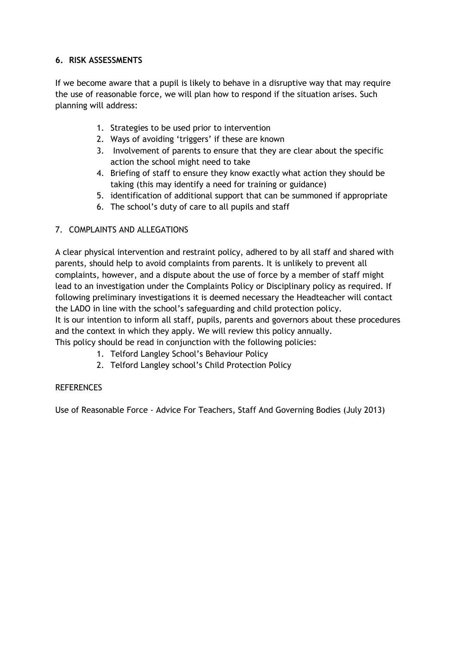#### **6. RISK ASSESSMENTS**

If we become aware that a pupil is likely to behave in a disruptive way that may require the use of reasonable force, we will plan how to respond if the situation arises. Such planning will address:

- 1. Strategies to be used prior to intervention
- 2. Ways of avoiding 'triggers' if these are known
- 3. Involvement of parents to ensure that they are clear about the specific action the school might need to take
- 4. Briefing of staff to ensure they know exactly what action they should be taking (this may identify a need for training or guidance)
- 5. identification of additional support that can be summoned if appropriate
- 6. The school's duty of care to all pupils and staff

#### 7. COMPLAINTS AND ALLEGATIONS

A clear physical intervention and restraint policy, adhered to by all staff and shared with parents, should help to avoid complaints from parents. It is unlikely to prevent all complaints, however, and a dispute about the use of force by a member of staff might lead to an investigation under the Complaints Policy or Disciplinary policy as required. If following preliminary investigations it is deemed necessary the Headteacher will contact the LADO in line with the school's safeguarding and child protection policy.

It is our intention to inform all staff, pupils, parents and governors about these procedures and the context in which they apply. We will review this policy annually.

This policy should be read in conjunction with the following policies:

- 1. Telford Langley School's Behaviour Policy
- 2. Telford Langley school's Child Protection Policy

#### **REFERENCES**

Use of Reasonable Force - Advice For Teachers, Staff And Governing Bodies (July 2013)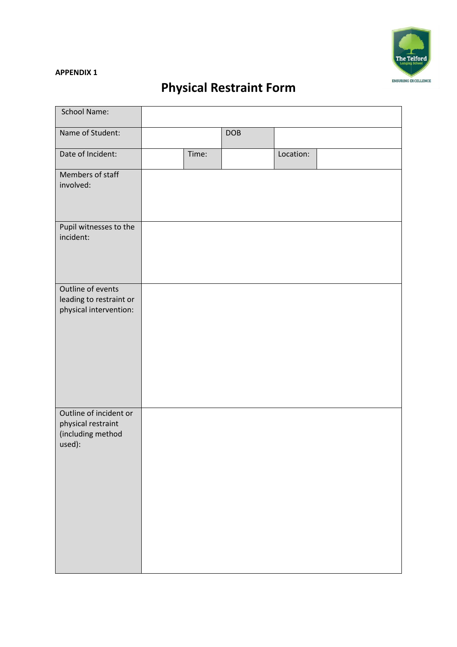

#### **APPENDIX 1**

### **Physical Restraint Form**

| School Name:                                                                |       |            |           |  |
|-----------------------------------------------------------------------------|-------|------------|-----------|--|
| Name of Student:                                                            |       | <b>DOB</b> |           |  |
| Date of Incident:                                                           | Time: |            | Location: |  |
| Members of staff<br>involved:                                               |       |            |           |  |
| Pupil witnesses to the<br>incident:                                         |       |            |           |  |
| Outline of events<br>leading to restraint or<br>physical intervention:      |       |            |           |  |
| Outline of incident or<br>physical restraint<br>(including method<br>used): |       |            |           |  |